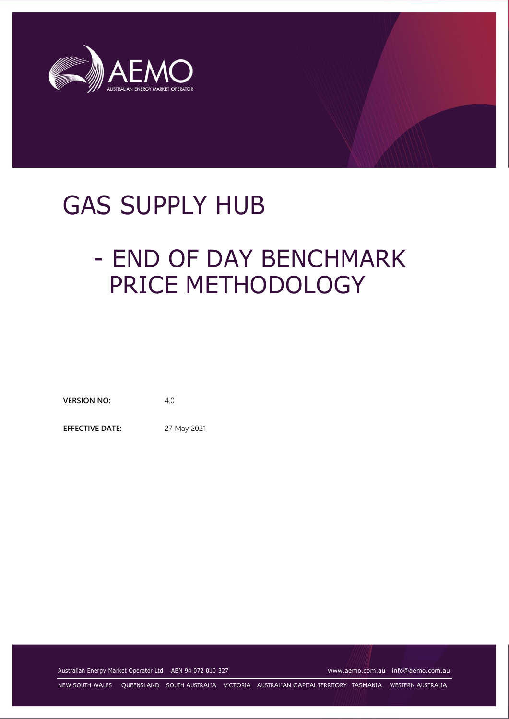

# GAS SUPPLY HUB

# - END OF DAY BENCHMARK PRICE METHODOLOGY

**VERSION NO:** 4.0

**EFFECTIVE DATE:** 27 May 2021

Australian Energy Market Operator Ltd ABN 94 072 010 327 [www.aemo.com.au](http://www.aemo.com.au/) [info@aemo.com.au](mailto:info@aemo.com.au)

NEW SOUTH WALES QUEENSLAND SOUTH AUSTRALIA VICTORIA AUSTRALIAN CAPITAL TERRITORY TASMANIA WESTERN AUSTRALIA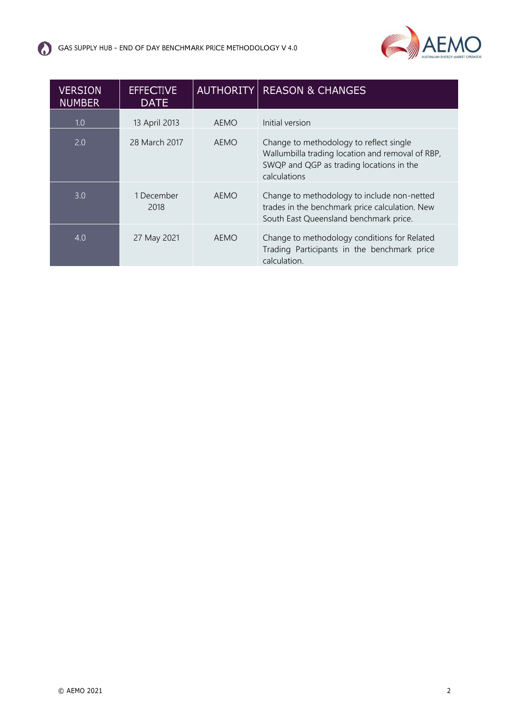

| <b>VERSION</b><br><b>NUMBER</b> | <b>EFFECTIVE</b><br><b>DATE</b> | <b>AUTHORITY</b> | <b>REASON &amp; CHANGES</b>                                                                                                                             |
|---------------------------------|---------------------------------|------------------|---------------------------------------------------------------------------------------------------------------------------------------------------------|
| 1.0                             | 13 April 2013                   | <b>AEMO</b>      | Initial version                                                                                                                                         |
| 2.0                             | 28 March 2017                   | <b>AEMO</b>      | Change to methodology to reflect single<br>Wallumbilla trading location and removal of RBP,<br>SWQP and QGP as trading locations in the<br>calculations |
| 3.0                             | 1 December<br>2018              | <b>AEMO</b>      | Change to methodology to include non-netted<br>trades in the benchmark price calculation. New<br>South East Queensland benchmark price.                 |
| 4.0                             | 27 May 2021                     | <b>AEMO</b>      | Change to methodology conditions for Related<br>Trading Participants in the benchmark price<br>calculation.                                             |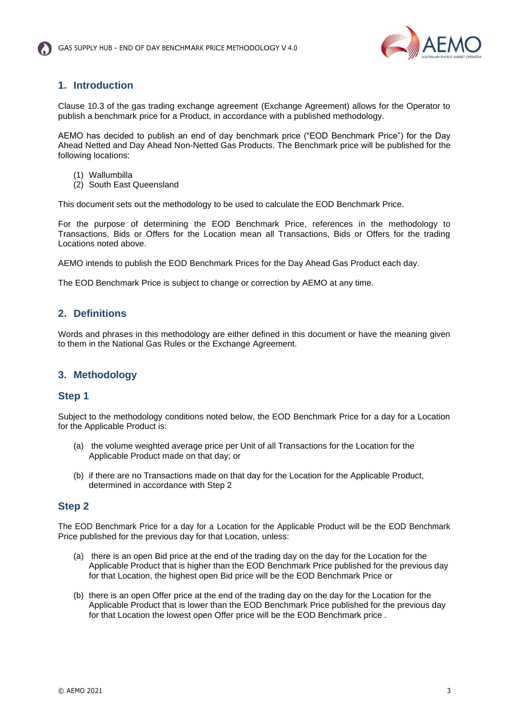

## **1. Introduction**

Clause 10.3 of the gas trading exchange agreement (Exchange Agreement) allows for the Operator to publish a benchmark price for a Product, in accordance with a published methodology.

AEMO has decided to publish an end of day benchmark price ("EOD Benchmark Price") for the Day Ahead Netted and Day Ahead Non-Netted Gas Products. The Benchmark price will be published for the following locations:

- (1) Wallumbilla
- (2) South East Queensland

This document sets out the methodology to be used to calculate the EOD Benchmark Price.

For the purpose of determining the EOD Benchmark Price, references in the methodology to Transactions, Bids or Offers for the Location mean all Transactions, Bids or Offers for the trading Locations noted above.

AEMO intends to publish the EOD Benchmark Prices for the Day Ahead Gas Product each day.

The EOD Benchmark Price is subject to change or correction by AEMO at any time.

### **2. Definitions**

Words and phrases in this methodology are either defined in this document or have the meaning given to them in the National Gas Rules or the Exchange Agreement.

### **3. Methodology**

### **Step 1**

Subject to the methodology conditions noted below, the EOD Benchmark Price for a day for a Location for the Applicable Product is:

- (a) the volume weighted average price per Unit of all Transactions for the Location for the Applicable Product made on that day; or
- (b) if there are no Transactions made on that day for the Location for the Applicable Product, determined in accordance with Step 2

#### **Step 2**

The EOD Benchmark Price for a day for a Location for the Applicable Product will be the EOD Benchmark Price published for the previous day for that Location, unless:

- (a) there is an open Bid price at the end of the trading day on the day for the Location for the Applicable Product that is higher than the EOD Benchmark Price published for the previous day for that Location, the highest open Bid price will be the EOD Benchmark Price or
- (b) there is an open Offer price at the end of the trading day on the day for the Location for the Applicable Product that is lower than the EOD Benchmark Price published for the previous day for that Location the lowest open Offer price will be the EOD Benchmark price .